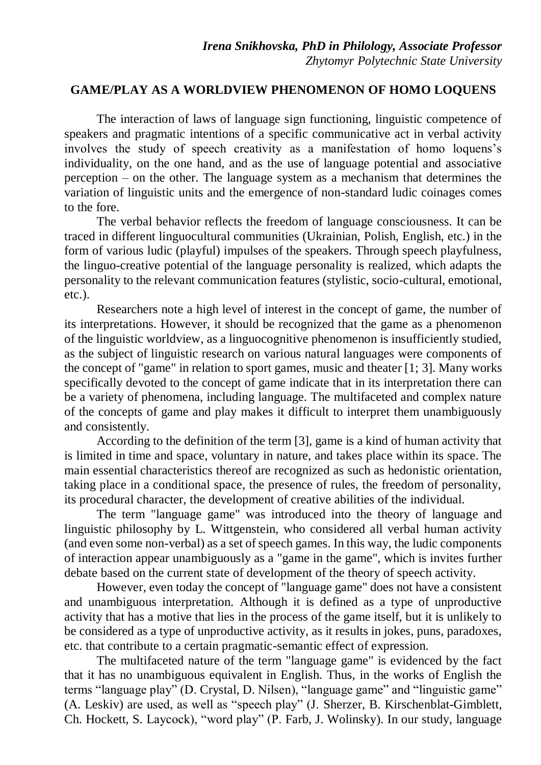## **GAME/PLAY AS A WORLDVIEW PHENOMENON OF HOMO LOQUENS**

The interaction of laws of language sign functioning, linguistic competence of speakers and pragmatic intentions of a specific communicative act in verbal activity involves the study of speech creativity as a manifestation of homo loquens's individuality, on the one hand, and as the use of language potential and associative perception – on the other. The language system as a mechanism that determines the variation of linguistic units and the emergence of non-standard ludic coinages comes to the fore.

The verbal behavior reflects the freedom of language consciousness. It can be traced in different linguocultural communities (Ukrainian, Polish, English, etc.) in the form of various ludic (playful) impulses of the speakers. Through speech playfulness, the linguo-creative potential of the language personality is realized, which adapts the personality to the relevant communication features (stylistic, socio-cultural, emotional, etc.).

Researchers note a high level of interest in the concept of game, the number of its interpretations. However, it should be recognized that the game as a phenomenon of the linguistic worldview, as a linguocognitive phenomenon is insufficiently studied, as the subject of linguistic research on various natural languages were components of the concept of "game" in relation to sport games, music and theater [1; 3]. Many works specifically devoted to the concept of game indicate that in its interpretation there can be a variety of phenomena, including language. The multifaceted and complex nature of the concepts of game and play makes it difficult to interpret them unambiguously and consistently.

According to the definition of the term [3], game is a kind of human activity that is limited in time and space, voluntary in nature, and takes place within its space. The main essential characteristics thereof are recognized as such as hedonistic orientation, taking place in a conditional space, the presence of rules, the freedom of personality, its procedural character, the development of creative abilities of the individual.

The term "language game" was introduced into the theory of language and linguistic philosophy by L. Wittgenstein, who considered all verbal human activity (and even some non-verbal) as a set of speech games. In this way, the ludic components of interaction appear unambiguously as a "game in the game", which is invites further debate based on the current state of development of the theory of speech activity.

However, even today the concept of "language game" does not have a consistent and unambiguous interpretation. Although it is defined as a type of unproductive activity that has a motive that lies in the process of the game itself, but it is unlikely to be considered as a type of unproductive activity, as it results in jokes, puns, paradoxes, etc. that contribute to a certain pragmatic-semantic effect of expression.

The multifaceted nature of the term "language game" is evidenced by the fact that it has no unambiguous equivalent in English. Thus, in the works of English the terms "language play" (D. Crystal, D. Nilsen), "language game" and "linguistic game" (A. Leskiv) are used, as well as "speech play" (J. Sherzer, B. Kirschenblat-Gimblett, Ch. Hockett, S. Laycock), "word play" (P. Farb, J. Wolinsky). In our study, language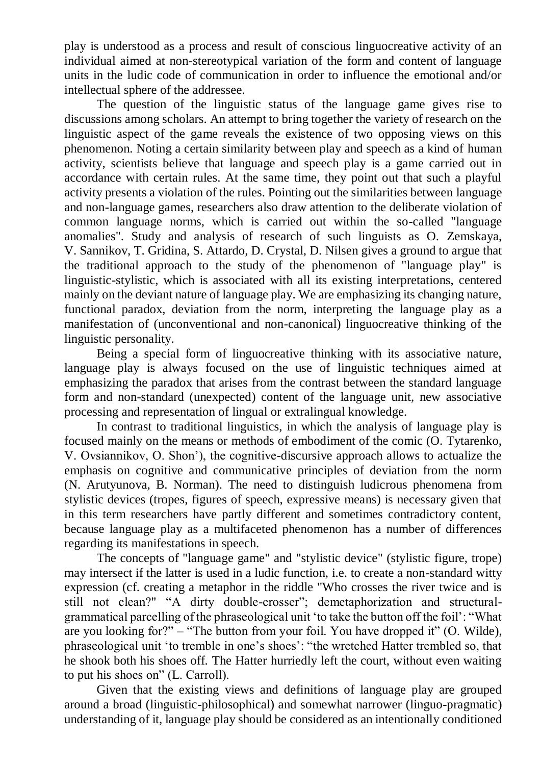play is understood as a process and result of conscious linguocreative activity of an individual aimed at non-stereotypical variation of the form and content of language units in the ludic code of communication in order to influence the emotional and/or intellectual sphere of the addressee.

The question of the linguistic status of the language game gives rise to discussions among scholars. An attempt to bring together the variety of research on the linguistic aspect of the game reveals the existence of two opposing views on this phenomenon. Noting a certain similarity between play and speech as a kind of human activity, scientists believe that language and speech play is a game carried out in accordance with certain rules. At the same time, they point out that such a playful activity presents a violation of the rules. Pointing out the similarities between language and non-language games, researchers also draw attention to the deliberate violation of common language norms, which is carried out within the so-called "language anomalies". Study and analysis of research of such linguists as O. Zemskaya, V. Sannikov, T. Gridina, S. Attardo, D. Crystal, D. Nilsen gives a ground to argue that the traditional approach to the study of the phenomenon of "language play" is linguistic-stylistic, which is associated with all its existing interpretations, centered mainly on the deviant nature of language play. We are emphasizing its changing nature, functional paradox, deviation from the norm, interpreting the language play as a manifestation of (unconventional and non-canonical) linguocreative thinking of the linguistic personality.

Being a special form of linguocreative thinking with its associative nature, language play is always focused on the use of linguistic techniques aimed at emphasizing the paradox that arises from the contrast between the standard language form and non-standard (unexpected) content of the language unit, new associative processing and representation of lingual or extralingual knowledge.

In contrast to traditional linguistics, in which the analysis of language play is focused mainly on the means or methods of embodiment of the comic (O. Tytarenko, V. Ovsiannikov, O. Shon'), the cognitive-discursive approach allows to actualize the emphasis on cognitive and communicative principles of deviation from the norm (N. Arutyunova, B. Norman). The need to distinguish ludicrous phenomena from stylistic devices (tropes, figures of speech, expressive means) is necessary given that in this term researchers have partly different and sometimes contradictory content, because language play as a multifaceted phenomenon has a number of differences regarding its manifestations in speech.

The concepts of "language game" and "stylistic device" (stylistic figure, trope) may intersect if the latter is used in a ludic function, i.e. to create a non-standard witty expression (cf. creating a metaphor in the riddle "Who crosses the river twice and is still not clean?" "A dirty double-crosser"; demetaphorization and structuralgrammatical parcelling of the phraseological unit 'to take the button off the foil': "What are you looking for?" – "The button from your foil. You have dropped it" (O. Wilde), phraseological unit 'to tremble in one's shoes': "the wretched Hatter trembled so, that he shook both his shoes off. The Hatter hurriedly left the court, without even waiting to put his shoes on" (L. Carroll).

Given that the existing views and definitions of language play are grouped around a broad (linguistic-philosophical) and somewhat narrower (linguo-pragmatic) understanding of it, language play should be considered as an intentionally conditioned